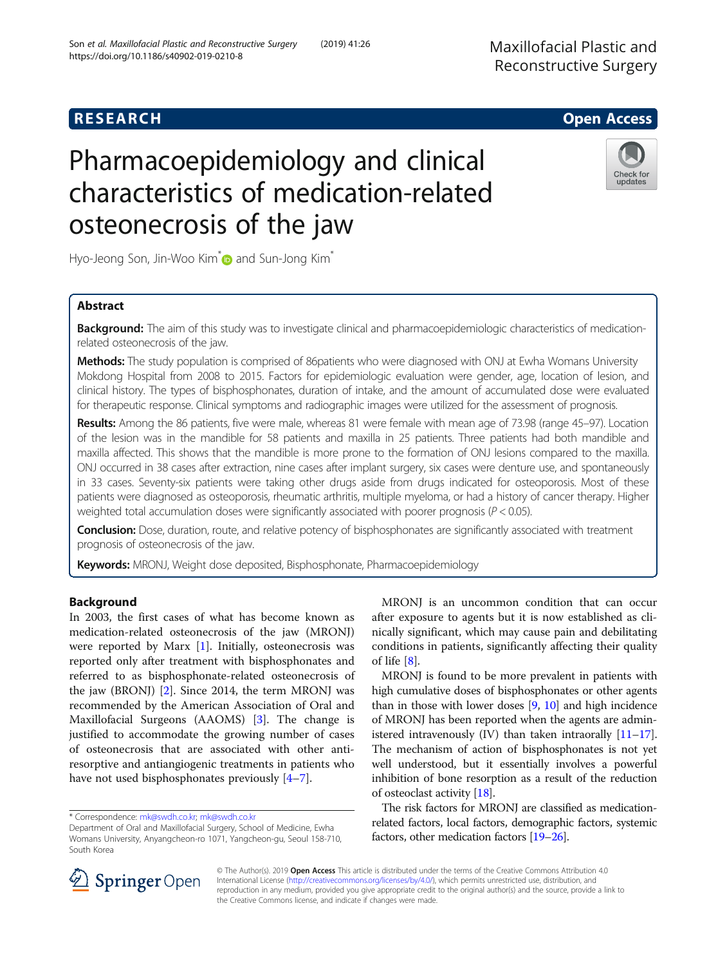## **RESEARCH CHILD CONTROL** CONTROL CONTROL CONTROL CONTROL CONTROL CONTROL CONTROL CONTROL CONTROL CONTROL CONTROL

# Pharmacoepidemiology and clinical characteristics of medication-related osteonecrosis of the jaw

Hyo-Jeong Son, Jin-Woo Kim<sup>\*</sup> and Sun-Jong Kim<sup>\*</sup>

## Abstract

Background: The aim of this study was to investigate clinical and pharmacoepidemiologic characteristics of medicationrelated osteonecrosis of the jaw.

Methods: The study population is comprised of 86patients who were diagnosed with ONJ at Ewha Womans University Mokdong Hospital from 2008 to 2015. Factors for epidemiologic evaluation were gender, age, location of lesion, and clinical history. The types of bisphosphonates, duration of intake, and the amount of accumulated dose were evaluated for therapeutic response. Clinical symptoms and radiographic images were utilized for the assessment of prognosis.

Results: Among the 86 patients, five were male, whereas 81 were female with mean age of 73.98 (range 45–97). Location of the lesion was in the mandible for 58 patients and maxilla in 25 patients. Three patients had both mandible and maxilla affected. This shows that the mandible is more prone to the formation of ONJ lesions compared to the maxilla. ONJ occurred in 38 cases after extraction, nine cases after implant surgery, six cases were denture use, and spontaneously in 33 cases. Seventy-six patients were taking other drugs aside from drugs indicated for osteoporosis. Most of these patients were diagnosed as osteoporosis, rheumatic arthritis, multiple myeloma, or had a history of cancer therapy. Higher weighted total accumulation doses were significantly associated with poorer prognosis ( $P < 0.05$ ).

Conclusion: Dose, duration, route, and relative potency of bisphosphonates are significantly associated with treatment prognosis of osteonecrosis of the jaw.

Keywords: MRONJ, Weight dose deposited, Bisphosphonate, Pharmacoepidemiology

## **Background**

In 2003, the first cases of what has become known as medication-related osteonecrosis of the jaw (MRONJ) were reported by Marx  $[1]$  $[1]$ . Initially, osteonecrosis was reported only after treatment with bisphosphonates and referred to as bisphosphonate-related osteonecrosis of the jaw (BRONJ) [\[2\]](#page-5-0). Since 2014, the term MRONJ was recommended by the American Association of Oral and Maxillofacial Surgeons (AAOMS) [\[3](#page-5-0)]. The change is justified to accommodate the growing number of cases of osteonecrosis that are associated with other antiresorptive and antiangiogenic treatments in patients who have not used bisphosphonates previously [[4](#page-5-0)–[7\]](#page-5-0).

\* Correspondence: [mk@swdh.co.kr](mailto:mk@swdh.co.kr); [mk@swdh.co.kr](mailto:mk@swdh.co.kr)

of osteoclast activity [\[18\]](#page-5-0). The risk factors for MRONJ are classified as medication-

related factors, local factors, demographic factors, systemic factors, other medication factors [\[19](#page-5-0)–[26](#page-5-0)].



Check for

updates

MRONJ is an uncommon condition that can occur after exposure to agents but it is now established as clinically significant, which may cause pain and debilitating conditions in patients, significantly affecting their quality of life [\[8](#page-5-0)].

MRONJ is found to be more prevalent in patients with high cumulative doses of bisphosphonates or other agents than in those with lower doses [[9,](#page-5-0) [10](#page-5-0)] and high incidence of MRONJ has been reported when the agents are administered intravenously (IV) than taken intraorally  $[11-17]$  $[11-17]$  $[11-17]$  $[11-17]$ . The mechanism of action of bisphosphonates is not yet well understood, but it essentially involves a powerful inhibition of bone resorption as a result of the reduction

© The Author(s). 2019 Open Access This article is distributed under the terms of the Creative Commons Attribution 4.0 International License ([http://creativecommons.org/licenses/by/4.0/\)](http://creativecommons.org/licenses/by/4.0/), which permits unrestricted use, distribution, and reproduction in any medium, provided you give appropriate credit to the original author(s) and the source, provide a link to the Creative Commons license, and indicate if changes were made.

Department of Oral and Maxillofacial Surgery, School of Medicine, Ewha Womans University, Anyangcheon-ro 1071, Yangcheon-gu, Seoul 158-710, South Korea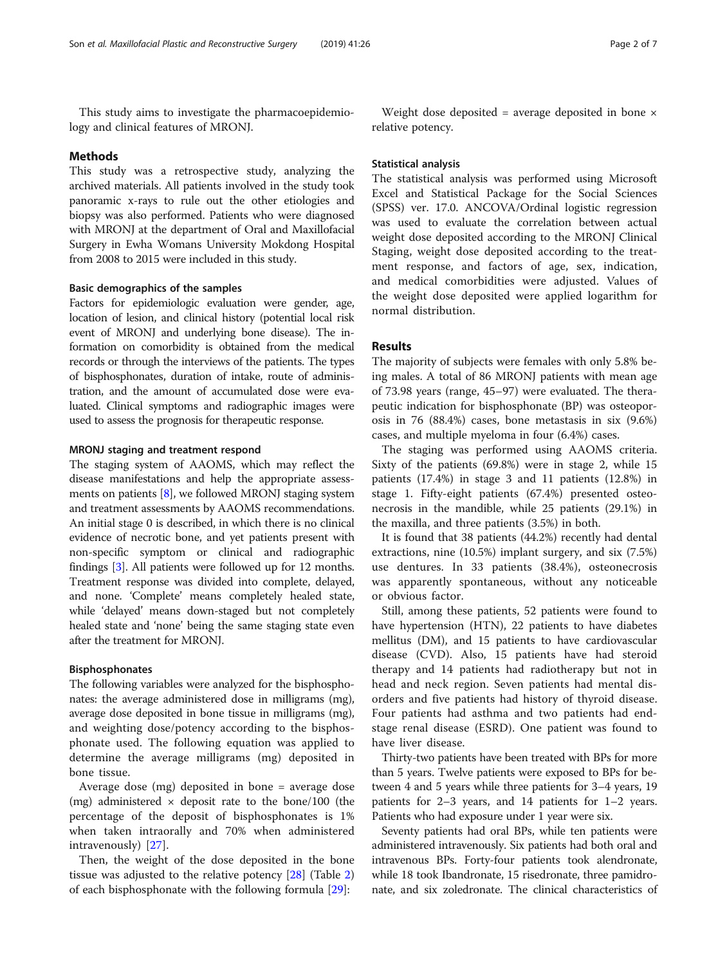This study aims to investigate the pharmacoepidemiology and clinical features of MRONJ.

#### Methods

This study was a retrospective study, analyzing the archived materials. All patients involved in the study took panoramic x-rays to rule out the other etiologies and biopsy was also performed. Patients who were diagnosed with MRONJ at the department of Oral and Maxillofacial Surgery in Ewha Womans University Mokdong Hospital from 2008 to 2015 were included in this study.

#### Basic demographics of the samples

Factors for epidemiologic evaluation were gender, age, location of lesion, and clinical history (potential local risk event of MRONJ and underlying bone disease). The information on comorbidity is obtained from the medical records or through the interviews of the patients. The types of bisphosphonates, duration of intake, route of administration, and the amount of accumulated dose were evaluated. Clinical symptoms and radiographic images were used to assess the prognosis for therapeutic response.

#### MRONJ staging and treatment respond

The staging system of AAOMS, which may reflect the disease manifestations and help the appropriate assessments on patients [\[8\]](#page-5-0), we followed MRONJ staging system and treatment assessments by AAOMS recommendations. An initial stage 0 is described, in which there is no clinical evidence of necrotic bone, and yet patients present with non-specific symptom or clinical and radiographic findings [[3\]](#page-5-0). All patients were followed up for 12 months. Treatment response was divided into complete, delayed, and none. 'Complete' means completely healed state, while 'delayed' means down-staged but not completely healed state and 'none' being the same staging state even after the treatment for MRONJ.

#### Bisphosphonates

The following variables were analyzed for the bisphosphonates: the average administered dose in milligrams (mg), average dose deposited in bone tissue in milligrams (mg), and weighting dose/potency according to the bisphosphonate used. The following equation was applied to determine the average milligrams (mg) deposited in bone tissue.

Average dose (mg) deposited in bone = average dose (mg) administered  $\times$  deposit rate to the bone/100 (the percentage of the deposit of bisphosphonates is 1% when taken intraorally and 70% when administered intravenously) [[27\]](#page-5-0).

Then, the weight of the dose deposited in the bone tissue was adjusted to the relative potency [[28](#page-5-0)] (Table [2](#page-3-0)) of each bisphosphonate with the following formula [[29](#page-5-0)]:

Weight dose deposited = average deposited in bone  $\times$ relative potency.

#### Statistical analysis

The statistical analysis was performed using Microsoft Excel and Statistical Package for the Social Sciences (SPSS) ver. 17.0. ANCOVA/Ordinal logistic regression was used to evaluate the correlation between actual weight dose deposited according to the MRONJ Clinical Staging, weight dose deposited according to the treatment response, and factors of age, sex, indication, and medical comorbidities were adjusted. Values of the weight dose deposited were applied logarithm for normal distribution.

## Results

The majority of subjects were females with only 5.8% being males. A total of 86 MRONJ patients with mean age of 73.98 years (range, 45–97) were evaluated. The therapeutic indication for bisphosphonate (BP) was osteoporosis in 76 (88.4%) cases, bone metastasis in six (9.6%) cases, and multiple myeloma in four (6.4%) cases.

The staging was performed using AAOMS criteria. Sixty of the patients (69.8%) were in stage 2, while 15 patients (17.4%) in stage 3 and 11 patients (12.8%) in stage 1. Fifty-eight patients (67.4%) presented osteonecrosis in the mandible, while 25 patients (29.1%) in the maxilla, and three patients (3.5%) in both.

It is found that 38 patients (44.2%) recently had dental extractions, nine (10.5%) implant surgery, and six (7.5%) use dentures. In 33 patients (38.4%), osteonecrosis was apparently spontaneous, without any noticeable or obvious factor.

Still, among these patients, 52 patients were found to have hypertension (HTN), 22 patients to have diabetes mellitus (DM), and 15 patients to have cardiovascular disease (CVD). Also, 15 patients have had steroid therapy and 14 patients had radiotherapy but not in head and neck region. Seven patients had mental disorders and five patients had history of thyroid disease. Four patients had asthma and two patients had endstage renal disease (ESRD). One patient was found to have liver disease.

Thirty-two patients have been treated with BPs for more than 5 years. Twelve patients were exposed to BPs for between 4 and 5 years while three patients for 3–4 years, 19 patients for 2–3 years, and 14 patients for 1–2 years. Patients who had exposure under 1 year were six.

Seventy patients had oral BPs, while ten patients were administered intravenously. Six patients had both oral and intravenous BPs. Forty-four patients took alendronate, while 18 took Ibandronate, 15 risedronate, three pamidronate, and six zoledronate. The clinical characteristics of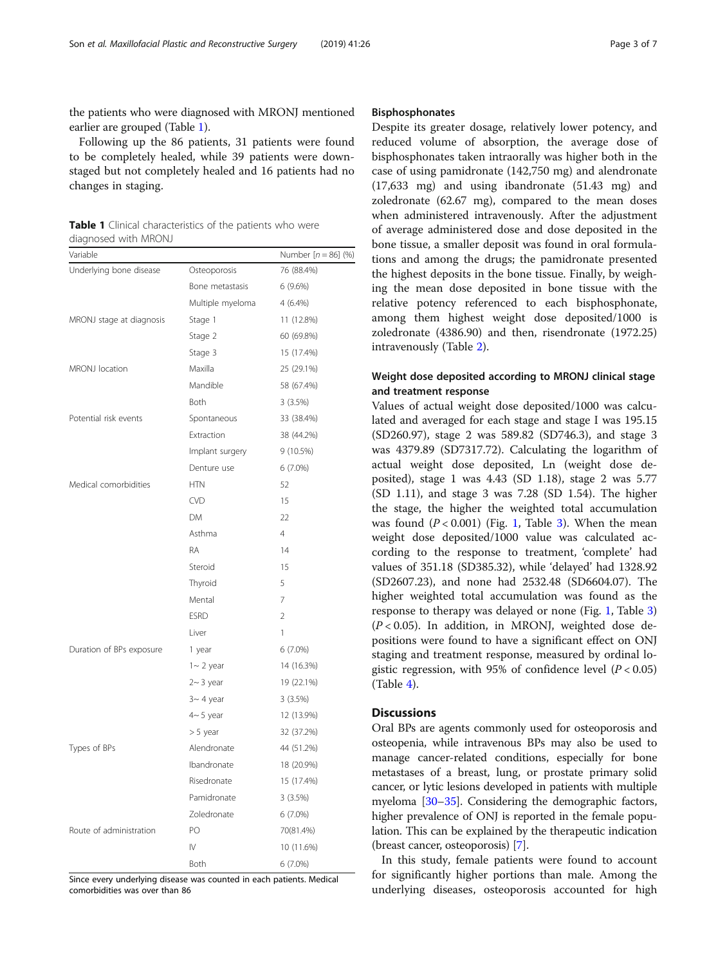the patients who were diagnosed with MRONJ mentioned earlier are grouped (Table 1).

Following up the 86 patients, 31 patients were found to be completely healed, while 39 patients were downstaged but not completely healed and 16 patients had no changes in staging.

Table 1 Clinical characteristics of the patients who were diagnosed with MRONJ

| Variable                 |                  | Number $[n = 86]$ (%) |
|--------------------------|------------------|-----------------------|
| Underlying bone disease  | Osteoporosis     | 76 (88.4%)            |
|                          | Bone metastasis  | 6(9.6%)               |
|                          | Multiple myeloma | 4 (6.4%)              |
| MRONJ stage at diagnosis | Stage 1          | 11 (12.8%)            |
|                          | Stage 2          | 60 (69.8%)            |
|                          | Stage 3          | 15 (17.4%)            |
| MRONJ location           | Maxilla          | 25 (29.1%)            |
|                          | Mandible         | 58 (67.4%)            |
|                          | <b>Both</b>      | 3(3.5%)               |
| Potential risk events    | Spontaneous      | 33 (38.4%)            |
|                          | Extraction       | 38 (44.2%)            |
|                          | Implant surgery  | 9 (10.5%)             |
|                          | Denture use      | $6(7.0\%)$            |
| Medical comorbidities    | <b>HTN</b>       | 52                    |
|                          | <b>CVD</b>       | 15                    |
|                          | <b>DM</b>        | 22                    |
|                          | Asthma           | $\overline{4}$        |
|                          | RA               | 14                    |
|                          | Steroid          | 15                    |
|                          | Thyroid          | 5                     |
|                          | Mental           | $\overline{7}$        |
|                          | <b>ESRD</b>      | $\overline{2}$        |
|                          | Liver            | 1                     |
| Duration of BPs exposure | 1 year           | $6(7.0\%)$            |
|                          | $1 - 2$ year     | 14 (16.3%)            |
|                          | $2~3$ year       | 19 (22.1%)            |
|                          | $3 - 4$ year     | 3(3.5%)               |
|                          | $4~5$ year       | 12 (13.9%)            |
|                          | $> 5$ year       | 32 (37.2%)            |
| Types of BPs             | Alendronate      | 44 (51.2%)            |
|                          | Ibandronate      | 18 (20.9%)            |
|                          | Risedronate      | 15 (17.4%)            |
|                          | Pamidronate      | 3(3.5%)               |
|                          | Zoledronate      | $6(7.0\%)$            |
| Route of administration  | PO               | 70(81.4%)             |
|                          | $\mathsf{IV}$    | 10 (11.6%)            |
|                          | Both             | 6 (7.0%)              |

Since every underlying disease was counted in each patients. Medical comorbidities was over than 86

## Bisphosphonates

Despite its greater dosage, relatively lower potency, and reduced volume of absorption, the average dose of bisphosphonates taken intraorally was higher both in the case of using pamidronate (142,750 mg) and alendronate (17,633 mg) and using ibandronate (51.43 mg) and zoledronate (62.67 mg), compared to the mean doses when administered intravenously. After the adjustment of average administered dose and dose deposited in the bone tissue, a smaller deposit was found in oral formulations and among the drugs; the pamidronate presented the highest deposits in the bone tissue. Finally, by weighing the mean dose deposited in bone tissue with the relative potency referenced to each bisphosphonate, among them highest weight dose deposited/1000 is zoledronate (4386.90) and then, risendronate (1972.25) intravenously (Table [2](#page-3-0)).

## Weight dose deposited according to MRONJ clinical stage and treatment response

Values of actual weight dose deposited/1000 was calculated and averaged for each stage and stage I was 195.15 (SD260.97), stage 2 was 589.82 (SD746.3), and stage 3 was 4379.89 (SD7317.72). Calculating the logarithm of actual weight dose deposited, Ln (weight dose deposited), stage 1 was 4.43 (SD 1.18), stage 2 was 5.77 (SD 1.11), and stage 3 was 7.28 (SD 1.54). The higher the stage, the higher the weighted total accumulation was found  $(P < 0.001)$  (Fig. [1,](#page-3-0) Table [3](#page-4-0)). When the mean weight dose deposited/1000 value was calculated according to the response to treatment, 'complete' had values of 351.18 (SD385.32), while 'delayed' had 1328.92 (SD2607.23), and none had 2532.48 (SD6604.07). The higher weighted total accumulation was found as the response to therapy was delayed or none (Fig. [1,](#page-3-0) Table [3](#page-4-0))  $(P < 0.05)$ . In addition, in MRONJ, weighted dose depositions were found to have a significant effect on ONJ staging and treatment response, measured by ordinal logistic regression, with 95% of confidence level ( $P < 0.05$ ) (Table [4\)](#page-4-0).

## **Discussions**

Oral BPs are agents commonly used for osteoporosis and osteopenia, while intravenous BPs may also be used to manage cancer-related conditions, especially for bone metastases of a breast, lung, or prostate primary solid cancer, or lytic lesions developed in patients with multiple myeloma [[30](#page-6-0)–[35\]](#page-6-0). Considering the demographic factors, higher prevalence of ONJ is reported in the female population. This can be explained by the therapeutic indication (breast cancer, osteoporosis) [\[7](#page-5-0)].

In this study, female patients were found to account for significantly higher portions than male. Among the underlying diseases, osteoporosis accounted for high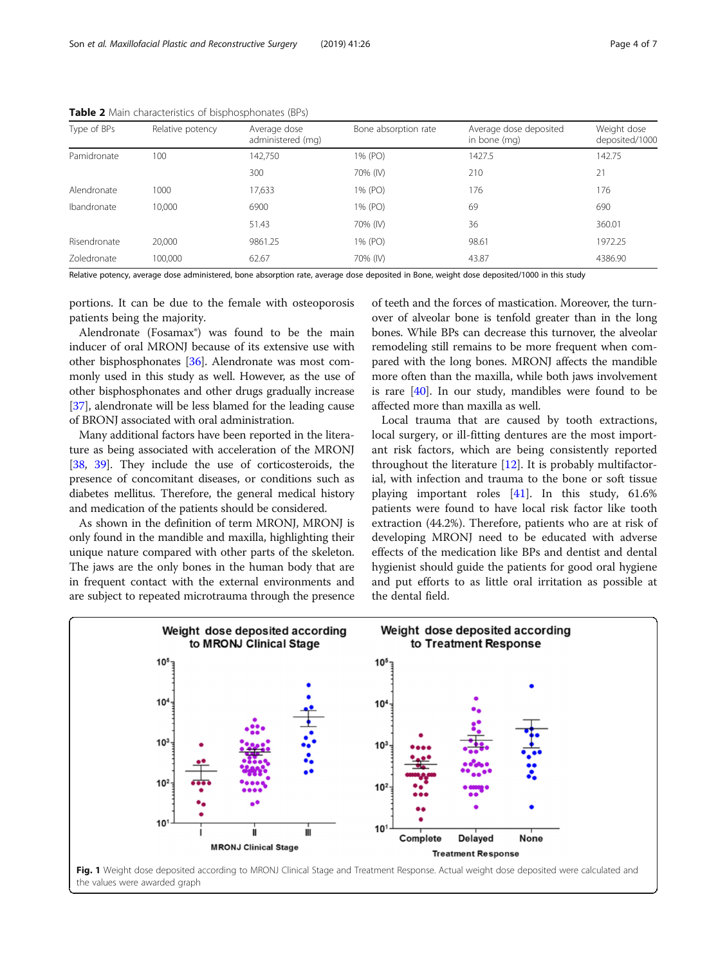| Type of BPs  | Relative potency | Average dose<br>administered (mg) | Bone absorption rate | Average dose deposited<br>in bone (mg) | Weight dose<br>deposited/1000 |
|--------------|------------------|-----------------------------------|----------------------|----------------------------------------|-------------------------------|
| Pamidronate  | 100              | 142.750                           | 1% (PO)              | 1427.5                                 | 142.75                        |
|              |                  | 300                               | 70% (IV)             | 210                                    | 21                            |
| Alendronate  | 1000             | 17,633                            | 1% (PO)              | 176                                    | 176                           |
| Ibandronate  | 10.000           | 6900                              | 1% (PO)              | 69                                     | 690                           |
|              |                  | 51.43                             | 70% (IV)             | 36                                     | 360.01                        |
| Risendronate | 20,000           | 9861.25                           | 1% (PO)              | 98.61                                  | 1972.25                       |
| Zoledronate  | 100,000          | 62.67                             | 70% (IV)             | 43.87                                  | 4386.90                       |

<span id="page-3-0"></span>Table 2 Main characteristics of bisphosphonates (BPs)

Relative potency, average dose administered, bone absorption rate, average dose deposited in Bone, weight dose deposited/1000 in this study

portions. It can be due to the female with osteoporosis patients being the majority.

Alendronate (Fosamax®) was found to be the main inducer of oral MRONJ because of its extensive use with other bisphosphonates [\[36\]](#page-6-0). Alendronate was most commonly used in this study as well. However, as the use of other bisphosphonates and other drugs gradually increase [[37](#page-6-0)], alendronate will be less blamed for the leading cause of BRONJ associated with oral administration.

Many additional factors have been reported in the literature as being associated with acceleration of the MRONJ [[38](#page-6-0), [39](#page-6-0)]. They include the use of corticosteroids, the presence of concomitant diseases, or conditions such as diabetes mellitus. Therefore, the general medical history and medication of the patients should be considered.

As shown in the definition of term MRONJ, MRONJ is only found in the mandible and maxilla, highlighting their unique nature compared with other parts of the skeleton. The jaws are the only bones in the human body that are in frequent contact with the external environments and are subject to repeated microtrauma through the presence

of teeth and the forces of mastication. Moreover, the turnover of alveolar bone is tenfold greater than in the long bones. While BPs can decrease this turnover, the alveolar remodeling still remains to be more frequent when compared with the long bones. MRONJ affects the mandible more often than the maxilla, while both jaws involvement is rare [\[40\]](#page-6-0). In our study, mandibles were found to be affected more than maxilla as well.

Local trauma that are caused by tooth extractions, local surgery, or ill-fitting dentures are the most important risk factors, which are being consistently reported throughout the literature [[12\]](#page-5-0). It is probably multifactorial, with infection and trauma to the bone or soft tissue playing important roles [[41\]](#page-6-0). In this study, 61.6% patients were found to have local risk factor like tooth extraction (44.2%). Therefore, patients who are at risk of developing MRONJ need to be educated with adverse effects of the medication like BPs and dentist and dental hygienist should guide the patients for good oral hygiene and put efforts to as little oral irritation as possible at the dental field.



Fig. 1 Weight dose deposited according to MRONJ Clinical Stage and Treatment Response. Actual weight dose deposited were calculated and the values were awarded graph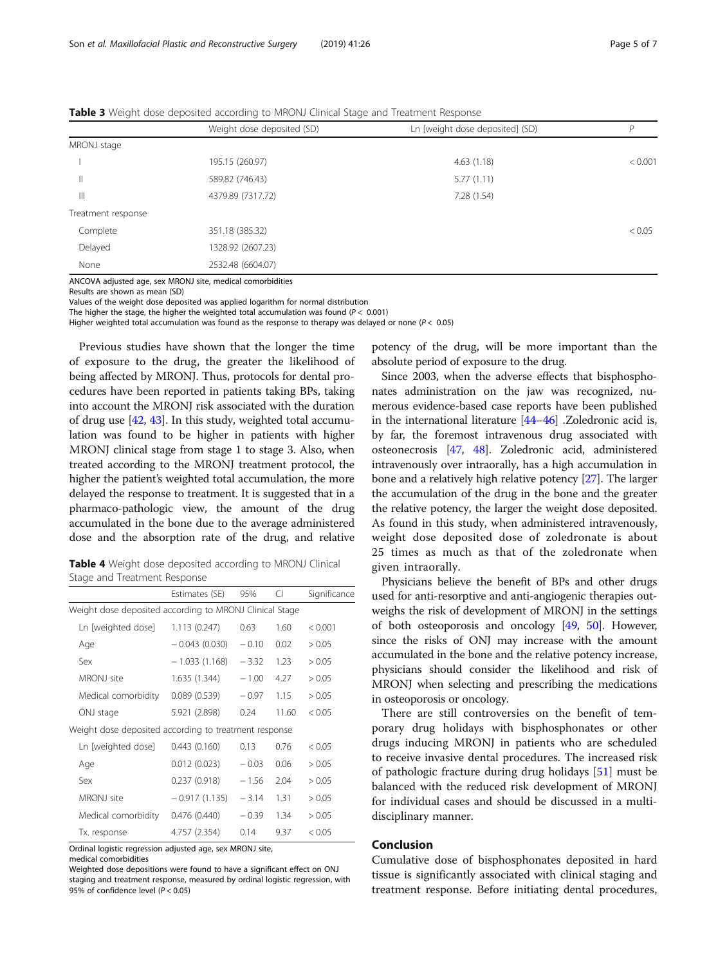|                    | Weight dose deposited (SD) | Ln [weight dose deposited] (SD) | D       |
|--------------------|----------------------------|---------------------------------|---------|
| MRONJ stage        |                            |                                 |         |
|                    | 195.15 (260.97)            | 4.63(1.18)                      | < 0.001 |
| $\mathbb{H}$       | 589.82 (746.43)            | 5.77(1.11)                      |         |
| $\mathsf{III}$     | 4379.89 (7317.72)          | 7.28 (1.54)                     |         |
| Treatment response |                            |                                 |         |
| Complete           | 351.18 (385.32)            |                                 | < 0.05  |
| Delayed            | 1328.92 (2607.23)          |                                 |         |
| None               | 2532.48 (6604.07)          |                                 |         |
|                    |                            |                                 |         |

<span id="page-4-0"></span>**Table 3** Weight dose deposited according to MRONJ Clinical Stage and Treatment Response

ANCOVA adjusted age, sex MRONJ site, medical comorbidities

Results are shown as mean (SD)

Values of the weight dose deposited was applied logarithm for normal distribution

The higher the stage, the higher the weighted total accumulation was found ( $P < 0.001$ )

Higher weighted total accumulation was found as the response to therapy was delayed or none ( $P < 0.05$ )

Previous studies have shown that the longer the time of exposure to the drug, the greater the likelihood of being affected by MRONJ. Thus, protocols for dental procedures have been reported in patients taking BPs, taking into account the MRONJ risk associated with the duration of drug use [\[42,](#page-6-0) [43](#page-6-0)]. In this study, weighted total accumulation was found to be higher in patients with higher MRONJ clinical stage from stage 1 to stage 3. Also, when treated according to the MRONJ treatment protocol, the higher the patient's weighted total accumulation, the more delayed the response to treatment. It is suggested that in a pharmaco-pathologic view, the amount of the drug accumulated in the bone due to the average administered dose and the absorption rate of the drug, and relative

Table 4 Weight dose deposited according to MRONJ Clinical Stage and Treatment Response

|                                                         | Estimates (SE)  | 95%     | CI    | Significance |  |
|---------------------------------------------------------|-----------------|---------|-------|--------------|--|
| Weight dose deposited according to MRONJ Clinical Stage |                 |         |       |              |  |
| Ln [weighted dose]                                      | 1.113(0.247)    | 063     | 1.60  | < 0.001      |  |
| Age                                                     | $-0.043(0.030)$ | $-0.10$ | 0.02  | > 0.05       |  |
| Sex                                                     | $-1.033(1.168)$ | $-3.32$ | 1.23  | > 0.05       |  |
| MRONJ site                                              | 1.635(1.344)    | $-1.00$ | 4.27  | > 0.05       |  |
| Medical comorbidity                                     | 0.089(0.539)    | $-0.97$ | 1.15  | > 0.05       |  |
| ONJ stage                                               | 5.921 (2.898)   | 0.24    | 11.60 | < 0.05       |  |
| Weight dose deposited according to treatment response   |                 |         |       |              |  |
| Ln [weighted dose]                                      | 0.443(0.160)    | 0.13    | 0.76  | < 0.05       |  |
| Age                                                     | 0.012(0.023)    | $-0.03$ | 0.06  | > 0.05       |  |
| Sex                                                     | 0.237(0.918)    | $-1.56$ | 2.04  | > 0.05       |  |
| MRON J site                                             | $-0.917(1.135)$ | $-3.14$ | 1.31  | > 0.05       |  |
| Medical comorbidity                                     | 0.476(0.440)    | $-0.39$ | 1.34  | > 0.05       |  |
| Tx. response                                            | 4.757 (2.354)   | 0.14    | 9.37  | < 0.05       |  |

Ordinal logistic regression adjusted age, sex MRONJ site,

medical comorbidities

Weighted dose depositions were found to have a significant effect on ONJ staging and treatment response, measured by ordinal logistic regression, with 95% of confidence level ( $P < 0.05$ )

potency of the drug, will be more important than the absolute period of exposure to the drug.

Since 2003, when the adverse effects that bisphosphonates administration on the jaw was recognized, numerous evidence-based case reports have been published in the international literature [[44](#page-6-0)–[46\]](#page-6-0) .Zoledronic acid is, by far, the foremost intravenous drug associated with osteonecrosis [[47](#page-6-0), [48](#page-6-0)]. Zoledronic acid, administered intravenously over intraorally, has a high accumulation in bone and a relatively high relative potency [\[27](#page-5-0)]. The larger the accumulation of the drug in the bone and the greater the relative potency, the larger the weight dose deposited. As found in this study, when administered intravenously, weight dose deposited dose of zoledronate is about 25 times as much as that of the zoledronate when given intraorally.

Physicians believe the benefit of BPs and other drugs used for anti-resorptive and anti-angiogenic therapies outweighs the risk of development of MRONJ in the settings of both osteoporosis and oncology [\[49,](#page-6-0) [50](#page-6-0)]. However, since the risks of ONJ may increase with the amount accumulated in the bone and the relative potency increase, physicians should consider the likelihood and risk of MRONJ when selecting and prescribing the medications in osteoporosis or oncology.

There are still controversies on the benefit of temporary drug holidays with bisphosphonates or other drugs inducing MRONJ in patients who are scheduled to receive invasive dental procedures. The increased risk of pathologic fracture during drug holidays [\[51\]](#page-6-0) must be balanced with the reduced risk development of MRONJ for individual cases and should be discussed in a multidisciplinary manner.

## Conclusion

Cumulative dose of bisphosphonates deposited in hard tissue is significantly associated with clinical staging and treatment response. Before initiating dental procedures,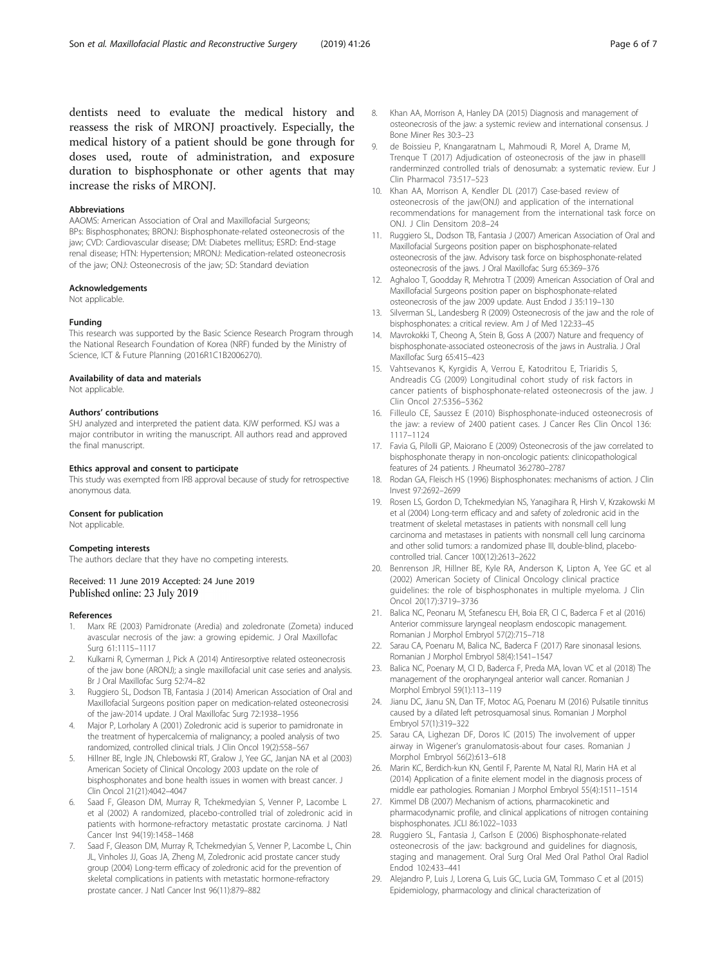<span id="page-5-0"></span>dentists need to evaluate the medical history and reassess the risk of MRONJ proactively. Especially, the medical history of a patient should be gone through for doses used, route of administration, and exposure duration to bisphosphonate or other agents that may increase the risks of MRONJ.

#### Abbreviations

AAOMS: American Association of Oral and Maxillofacial Surgeons; BPs: Bisphosphonates; BRONJ: Bisphosphonate-related osteonecrosis of the jaw; CVD: Cardiovascular disease; DM: Diabetes mellitus; ESRD: End-stage renal disease; HTN: Hypertension; MRONJ: Medication-related osteonecrosis of the jaw; ONJ: Osteonecrosis of the jaw; SD: Standard deviation

#### Acknowledgements

Not applicable.

#### Funding

This research was supported by the Basic Science Research Program through the National Research Foundation of Korea (NRF) funded by the Ministry of Science, ICT & Future Planning (2016R1C1B2006270).

#### Availability of data and materials

Not applicable.

#### Authors' contributions

SHJ analyzed and interpreted the patient data. KJW performed. KSJ was a major contributor in writing the manuscript. All authors read and approved the final manuscript.

#### Ethics approval and consent to participate

This study was exempted from IRB approval because of study for retrospective anonymous data.

#### Consent for publication

Not applicable.

#### Competing interests

The authors declare that they have no competing interests.

#### Received: 11 June 2019 Accepted: 24 June 2019 Published online: 23 July 2019

#### References

- 1. Marx RE (2003) Pamidronate (Aredia) and zoledronate (Zometa) induced avascular necrosis of the jaw: a growing epidemic. J Oral Maxillofac Surg 61:1115–1117
- 2. Kulkarni R, Cymerman J, Pick A (2014) Antiresorptive related osteonecrosis of the jaw bone (ARONJ); a single maxillofacial unit case series and analysis. Br J Oral Maxillofac Surg 52:74–82
- Ruggiero SL, Dodson TB, Fantasia J (2014) American Association of Oral and Maxillofacial Surgeons position paper on medication-related osteonecrosisi of the jaw-2014 update. J Oral Maxillofac Surg 72:1938–1956
- 4. Major P, Lorholary A (2001) Zoledronic acid is superior to pamidronate in the treatment of hypercalcemia of malignancy; a pooled analysis of two randomized, controlled clinical trials. J Clin Oncol 19(2):558–567
- 5. Hillner BE, Ingle JN, Chlebowski RT, Gralow J, Yee GC, Janjan NA et al (2003) American Society of Clinical Oncology 2003 update on the role of bisphosphonates and bone health issues in women with breast cancer. J Clin Oncol 21(21):4042–4047
- 6. Saad F, Gleason DM, Murray R, Tchekmedyian S, Venner P, Lacombe L et al (2002) A randomized, placebo-controlled trial of zoledronic acid in patients with hormone-refractory metastatic prostate carcinoma. J Natl Cancer Inst 94(19):1458–1468
- Saad F, Gleason DM, Murray R, Tchekmedyian S, Venner P, Lacombe L, Chin JL, Vinholes JJ, Goas JA, Zheng M, Zoledronic acid prostate cancer study group (2004) Long-term efficacy of zoledronic acid for the prevention of skeletal complications in patients with metastatic hormone-refractory prostate cancer. J Natl Cancer Inst 96(11):879–882
- 8. Khan AA, Morrison A, Hanley DA (2015) Diagnosis and management of osteonecrosis of the jaw: a systemic review and international consensus. J Bone Miner Res 30:3–23
- de Boissieu P, Knangaratnam L, Mahmoudi R, Morel A, Drame M, Trenque T (2017) Adjudication of osteonecrosis of the jaw in phaseIII randerminzed controlled trials of denosumab: a systematic review. Eur J Clin Pharmacol 73:517–523
- 10. Khan AA, Morrison A, Kendler DL (2017) Case-based review of osteonecrosis of the jaw(ONJ) and application of the international recommendations for management from the international task force on ONJ. J Clin Densitom 20:8–24
- 11. Ruggiero SL, Dodson TB, Fantasia J (2007) American Association of Oral and Maxillofacial Surgeons position paper on bisphosphonate-related osteonecrosis of the jaw. Advisory task force on bisphosphonate-related osteonecrosis of the jaws. J Oral Maxillofac Surg 65:369–376
- 12. Aghaloo T, Goodday R, Mehrotra T (2009) American Association of Oral and Maxillofacial Surgeons position paper on bisphosphonate-related osteonecrosis of the jaw 2009 update. Aust Endod J 35:119–130
- 13. Silverman SL, Landesberg R (2009) Osteonecrosis of the jaw and the role of bisphosphonates: a critical review. Am J of Med 122:33–45
- 14. Mavrokokki T, Cheong A, Stein B, Goss A (2007) Nature and frequency of bisphosphonate-associated osteonecrosis of the jaws in Australia. J Oral Maxillofac Surg 65:415–423
- 15. Vahtsevanos K, Kyrgidis A, Verrou E, Katodritou E, Triaridis S, Andreadis CG (2009) Longitudinal cohort study of risk factors in cancer patients of bisphosphonate-related osteonecrosis of the jaw. J Clin Oncol 27:5356–5362
- 16. Filleulo CE, Saussez E (2010) Bisphosphonate-induced osteonecrosis of the jaw: a review of 2400 patient cases. J Cancer Res Clin Oncol 136: 1117–1124
- 17. Favia G, Pilolli GP, Maiorano E (2009) Osteonecrosis of the jaw correlated to bisphosphonate therapy in non-oncologic patients: clinicopathological features of 24 patients. J Rheumatol 36:2780–2787
- 18. Rodan GA, Fleisch HS (1996) Bisphosphonates: mechanisms of action. J Clin Invest 97:2692–2699
- 19. Rosen LS, Gordon D, Tchekmedyian NS, Yanagihara R, Hirsh V, Krzakowski M et al (2004) Long-term efficacy and and safety of zoledronic acid in the treatment of skeletal metastases in patients with nonsmall cell lung carcinoma and metastases in patients with nonsmall cell lung carcinoma and other solid tumors: a randomized phase III, double-blind, placebocontrolled trial. Cancer 100(12):2613–2622
- 20. Benrenson JR, Hillner BE, Kyle RA, Anderson K, Lipton A, Yee GC et al (2002) American Society of Clinical Oncology clinical practice guidelines: the role of bisphosphonates in multiple myeloma. J Clin Oncol 20(17):3719–3736
- 21. Balica NC, Peonaru M, Stefanescu EH, Boia ER, Cl C, Baderca F et al (2016) Anterior commissure laryngeal neoplasm endoscopic management. Romanian J Morphol Embryol 57(2):715–718
- 22. Sarau CA, Poenaru M, Balica NC, Baderca F (2017) Rare sinonasal lesions. Romanian J Morphol Embryol 58(4):1541–1547
- 23. Balica NC, Poenary M, Cl D, Baderca F, Preda MA, lovan VC et al (2018) The management of the oropharyngeal anterior wall cancer. Romanian J Morphol Embryol 59(1):113–119
- 24. Jianu DC, Jianu SN, Dan TF, Motoc AG, Poenaru M (2016) Pulsatile tinnitus caused by a dilated left petrosquamosal sinus. Romanian J Morphol Embryol 57(1):319–322
- 25. Sarau CA, Lighezan DF, Doros IC (2015) The involvement of upper airway in Wigener's granulomatosis-about four cases. Romanian J Morphol Embryol 56(2):613–618
- 26. Marin KC, Berdich-kun KN, Gentil F, Parente M, Natal RJ, Marin HA et al (2014) Application of a finite element model in the diagnosis process of middle ear pathologies. Romanian J Morphol Embryol 55(4):1511–1514
- 27. Kimmel DB (2007) Mechanism of actions, pharmacokinetic and pharmacodynamic profile, and clinical applications of nitrogen containing bisphosphonates. JCLI 86:1022–1033
- 28. Ruggiero SL, Fantasia J, Carlson E (2006) Bisphosphonate-related osteonecrosis of the jaw: background and guidelines for diagnosis, staging and management. Oral Surg Oral Med Oral Pathol Oral Radiol Endod 102:433–441
- 29. Alejandro P, Luis J, Lorena G, Luis GC, Lucia GM, Tommaso C et al (2015) Epidemiology, pharmacology and clinical characterization of